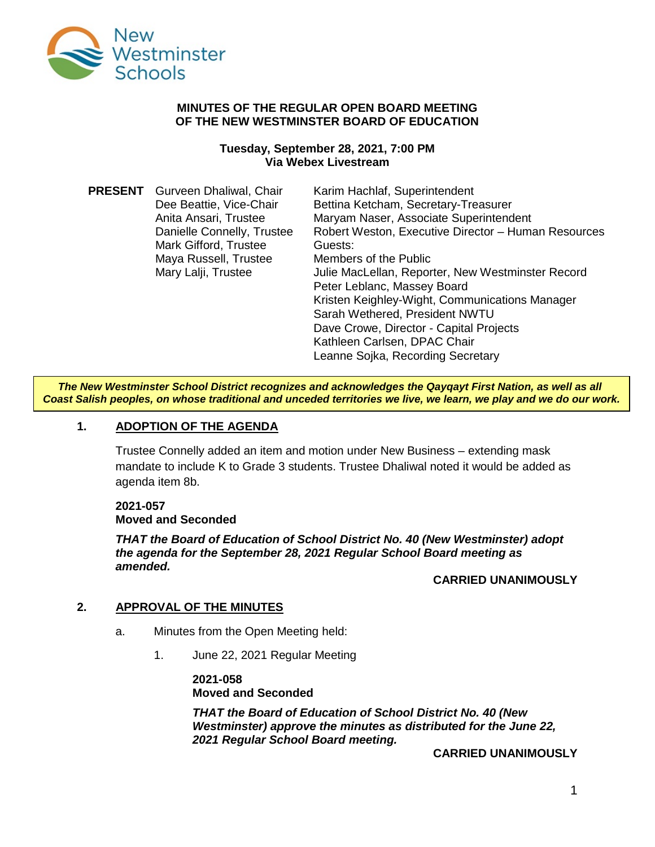

#### **MINUTES OF THE REGULAR OPEN BOARD MEETING OF THE NEW WESTMINSTER BOARD OF EDUCATION**

#### **Tuesday, September 28, 2021, 7:00 PM Via Webex Livestream**

| <b>PRESENT</b> | Gurveen Dhaliwal, Chair    | Karim Hachlaf, Superintendent                       |
|----------------|----------------------------|-----------------------------------------------------|
|                | Dee Beattie, Vice-Chair    | Bettina Ketcham, Secretary-Treasurer                |
|                | Anita Ansari, Trustee      | Maryam Naser, Associate Superintendent              |
|                | Danielle Connelly, Trustee | Robert Weston, Executive Director - Human Resources |
|                | Mark Gifford, Trustee      | Guests:                                             |
|                | Maya Russell, Trustee      | Members of the Public                               |
|                | Mary Lalji, Trustee        | Julie MacLellan, Reporter, New Westminster Record   |
|                |                            | Peter Leblanc, Massey Board                         |
|                |                            | Kristen Keighley-Wight, Communications Manager      |
|                |                            | Sarah Wethered, President NWTU                      |
|                |                            | Dave Crowe, Director - Capital Projects             |
|                |                            | Kathleen Carlsen, DPAC Chair                        |
|                |                            | Leanne Sojka, Recording Secretary                   |

*The New Westminster School District recognizes and acknowledges the Qayqayt First Nation, as well as all Coast Salish peoples, on whose traditional and unceded territories we live, we learn, we play and we do our work.*

### **1. ADOPTION OF THE AGENDA**

Trustee Connelly added an item and motion under New Business – extending mask mandate to include K to Grade 3 students. Trustee Dhaliwal noted it would be added as agenda item 8b.

#### **2021-057 Moved and Seconded**

*THAT the Board of Education of School District No. 40 (New Westminster) adopt the agenda for the September 28, 2021 Regular School Board meeting as amended.*

### **CARRIED UNANIMOUSLY**

### **2. APPROVAL OF THE MINUTES**

- a. Minutes from the Open Meeting held:
	- 1. June 22, 2021 Regular Meeting

**2021-058 Moved and Seconded**

*THAT the Board of Education of School District No. 40 (New Westminster) approve the minutes as distributed for the June 22, 2021 Regular School Board meeting.*

**CARRIED UNANIMOUSLY**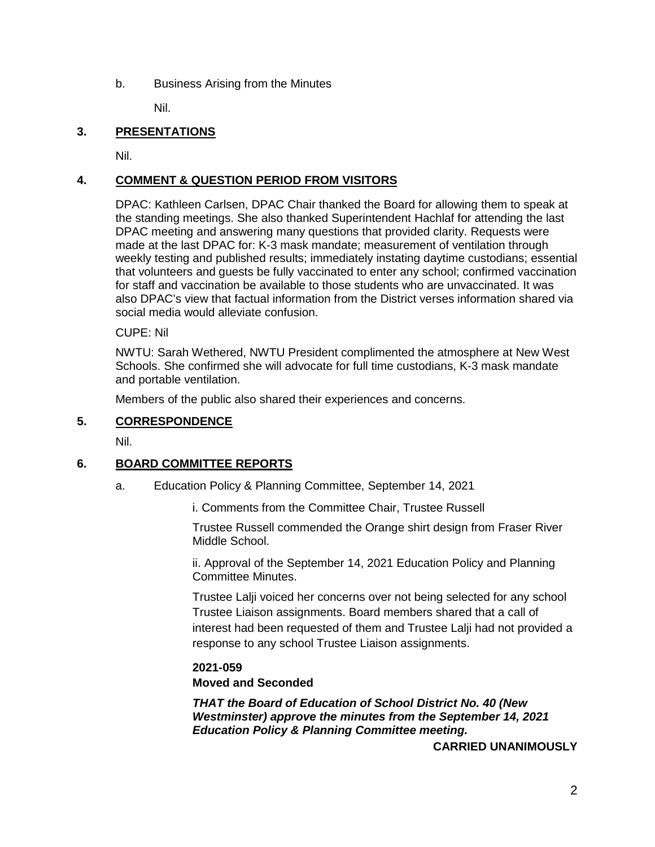b. Business Arising from the Minutes

Nil.

## **3. PRESENTATIONS**

Nil.

## **4. COMMENT & QUESTION PERIOD FROM VISITORS**

DPAC: Kathleen Carlsen, DPAC Chair thanked the Board for allowing them to speak at the standing meetings. She also thanked Superintendent Hachlaf for attending the last DPAC meeting and answering many questions that provided clarity. Requests were made at the last DPAC for: K-3 mask mandate; measurement of ventilation through weekly testing and published results; immediately instating daytime custodians; essential that volunteers and guests be fully vaccinated to enter any school; confirmed vaccination for staff and vaccination be available to those students who are unvaccinated. It was also DPAC's view that factual information from the District verses information shared via social media would alleviate confusion.

CUPE: Nil

NWTU: Sarah Wethered, NWTU President complimented the atmosphere at New West Schools. She confirmed she will advocate for full time custodians, K-3 mask mandate and portable ventilation.

Members of the public also shared their experiences and concerns.

#### **5. CORRESPONDENCE**

Nil.

### **6. BOARD COMMITTEE REPORTS**

a. Education Policy & Planning Committee, September 14, 2021

i. Comments from the Committee Chair, Trustee Russell

Trustee Russell commended the Orange shirt design from Fraser River Middle School.

ii. Approval of the September 14, 2021 Education Policy and Planning Committee Minutes.

Trustee Lalji voiced her concerns over not being selected for any school Trustee Liaison assignments. Board members shared that a call of interest had been requested of them and Trustee Lalji had not provided a response to any school Trustee Liaison assignments.

#### **2021-059**

### **Moved and Seconded**

*THAT the Board of Education of School District No. 40 (New Westminster) approve the minutes from the September 14, 2021 Education Policy & Planning Committee meeting.*

**CARRIED UNANIMOUSLY**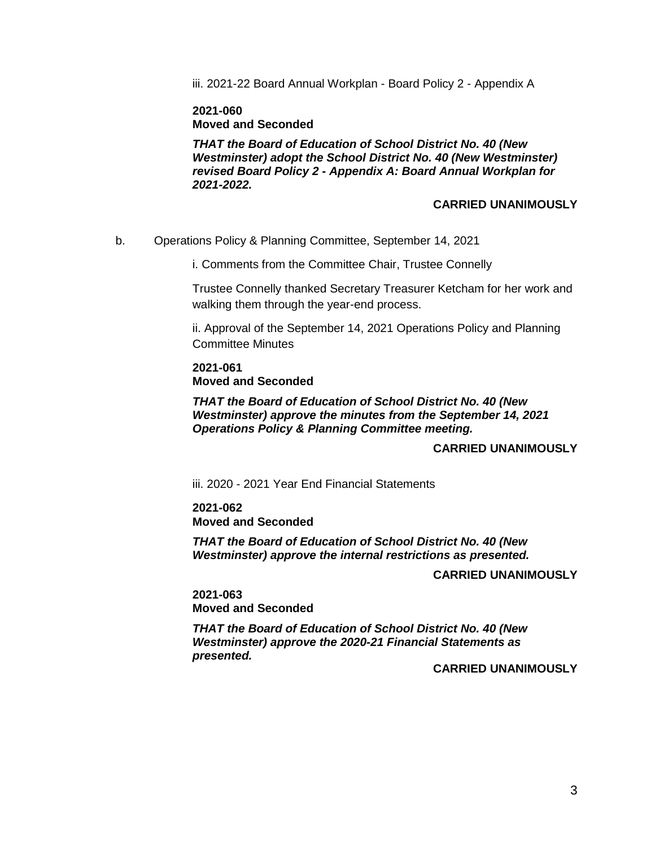iii. 2021-22 Board Annual Workplan - Board Policy 2 - Appendix A

**2021-060 Moved and Seconded**

*THAT the Board of Education of School District No. 40 (New Westminster) adopt the School District No. 40 (New Westminster) revised Board Policy 2 - Appendix A: Board Annual Workplan for 2021-2022.*

#### **CARRIED UNANIMOUSLY**

b. Operations Policy & Planning Committee, September 14, 2021

i. Comments from the Committee Chair, Trustee Connelly

Trustee Connelly thanked Secretary Treasurer Ketcham for her work and walking them through the year-end process.

ii. Approval of the September 14, 2021 Operations Policy and Planning Committee Minutes

**2021-061 Moved and Seconded**

*THAT the Board of Education of School District No. 40 (New Westminster) approve the minutes from the September 14, 2021 Operations Policy & Planning Committee meeting.*

## **CARRIED UNANIMOUSLY**

iii. 2020 - 2021 Year End Financial Statements

**2021-062 Moved and Seconded**

*THAT the Board of Education of School District No. 40 (New Westminster) approve the internal restrictions as presented.*

#### **CARRIED UNANIMOUSLY**

**2021-063 Moved and Seconded**

*THAT the Board of Education of School District No. 40 (New Westminster) approve the 2020-21 Financial Statements as presented.*

#### **CARRIED UNANIMOUSLY**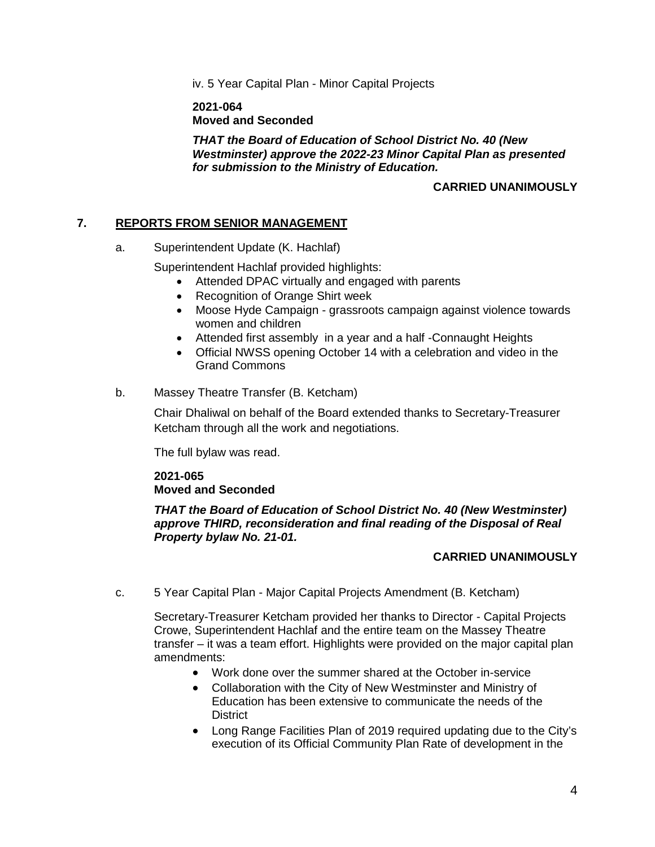iv. 5 Year Capital Plan - Minor Capital Projects

**2021-064 Moved and Seconded**

*THAT the Board of Education of School District No. 40 (New Westminster) approve the 2022-23 Minor Capital Plan as presented for submission to the Ministry of Education.*

## **CARRIED UNANIMOUSLY**

### **7. REPORTS FROM SENIOR MANAGEMENT**

a. Superintendent Update (K. Hachlaf)

Superintendent Hachlaf provided highlights:

- Attended DPAC virtually and engaged with parents
- Recognition of Orange Shirt week
- Moose Hyde Campaign grassroots campaign against violence towards women and children
- Attended first assembly in a year and a half -Connaught Heights
- Official NWSS opening October 14 with a celebration and video in the Grand Commons
- b. Massey Theatre Transfer (B. Ketcham)

Chair Dhaliwal on behalf of the Board extended thanks to Secretary-Treasurer Ketcham through all the work and negotiations.

The full bylaw was read.

### **2021-065 Moved and Seconded**

*THAT the Board of Education of School District No. 40 (New Westminster) approve THIRD, reconsideration and final reading of the Disposal of Real Property bylaw No. 21-01.*

### **CARRIED UNANIMOUSLY**

c. 5 Year Capital Plan - Major Capital Projects Amendment (B. Ketcham)

Secretary-Treasurer Ketcham provided her thanks to Director - Capital Projects Crowe, Superintendent Hachlaf and the entire team on the Massey Theatre transfer – it was a team effort. Highlights were provided on the major capital plan amendments:

- Work done over the summer shared at the October in-service
- Collaboration with the City of New Westminster and Ministry of Education has been extensive to communicate the needs of the **District**
- Long Range Facilities Plan of 2019 required updating due to the City's execution of its Official Community Plan Rate of development in the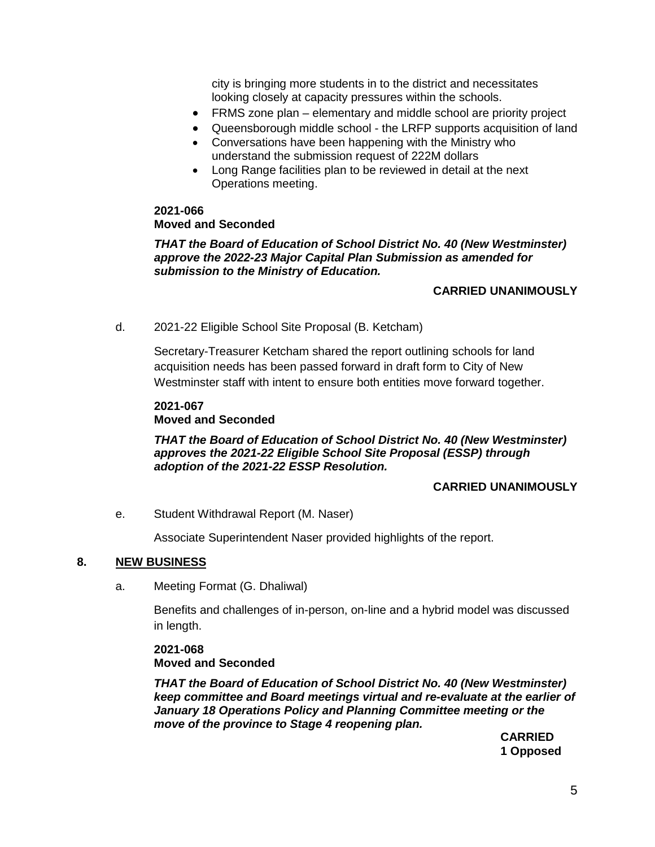city is bringing more students in to the district and necessitates looking closely at capacity pressures within the schools.

- FRMS zone plan elementary and middle school are priority project
- Queensborough middle school the LRFP supports acquisition of land
- Conversations have been happening with the Ministry who understand the submission request of 222M dollars
- Long Range facilities plan to be reviewed in detail at the next Operations meeting.

**2021-066 Moved and Seconded**

*THAT the Board of Education of School District No. 40 (New Westminster) approve the 2022-23 Major Capital Plan Submission as amended for submission to the Ministry of Education.*

#### **CARRIED UNANIMOUSLY**

d. 2021-22 Eligible School Site Proposal (B. Ketcham)

Secretary-Treasurer Ketcham shared the report outlining schools for land acquisition needs has been passed forward in draft form to City of New Westminster staff with intent to ensure both entities move forward together.

## **2021-067 Moved and Seconded**

*THAT the Board of Education of School District No. 40 (New Westminster) approves the 2021-22 Eligible School Site Proposal (ESSP) through adoption of the 2021-22 ESSP Resolution.*

#### **CARRIED UNANIMOUSLY**

e. Student Withdrawal Report (M. Naser)

Associate Superintendent Naser provided highlights of the report.

#### **8. NEW BUSINESS**

a. Meeting Format (G. Dhaliwal)

Benefits and challenges of in-person, on-line and a hybrid model was discussed in length.

**2021-068 Moved and Seconded**

*THAT the Board of Education of School District No. 40 (New Westminster) keep committee and Board meetings virtual and re-evaluate at the earlier of January 18 Operations Policy and Planning Committee meeting or the move of the province to Stage 4 reopening plan.*

**CARRIED 1 Opposed**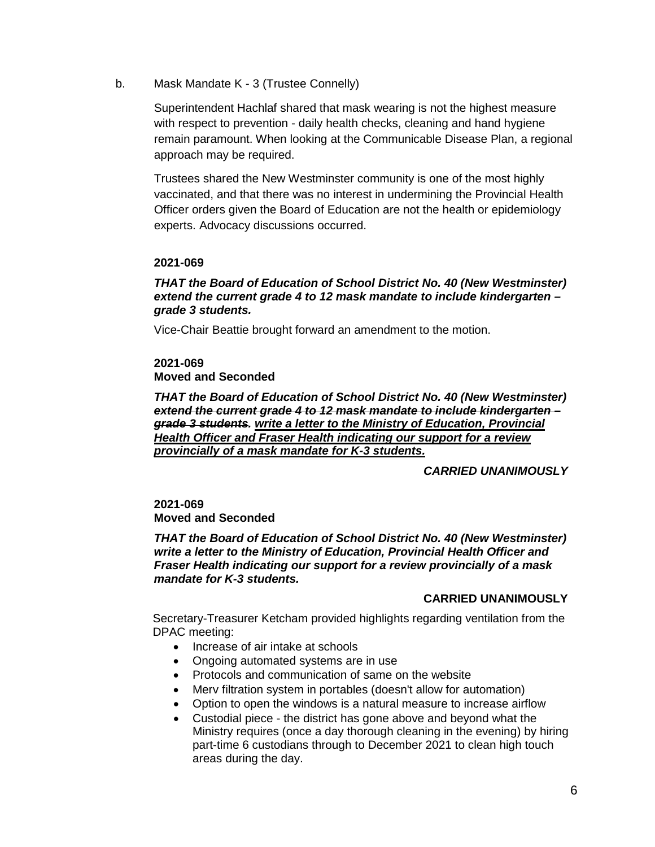b. Mask Mandate K - 3 (Trustee Connelly)

Superintendent Hachlaf shared that mask wearing is not the highest measure with respect to prevention - daily health checks, cleaning and hand hygiene remain paramount. When looking at the Communicable Disease Plan, a regional approach may be required.

Trustees shared the New Westminster community is one of the most highly vaccinated, and that there was no interest in undermining the Provincial Health Officer orders given the Board of Education are not the health or epidemiology experts. Advocacy discussions occurred.

### **2021-069**

#### *THAT the Board of Education of School District No. 40 (New Westminster) extend the current grade 4 to 12 mask mandate to include kindergarten – grade 3 students.*

Vice-Chair Beattie brought forward an amendment to the motion.

## **2021-069 Moved and Seconded**

*THAT the Board of Education of School District No. 40 (New Westminster) extend the current grade 4 to 12 mask mandate to include kindergarten – grade 3 students. write a letter to the Ministry of Education, Provincial Health Officer and Fraser Health indicating our support for a review provincially of a mask mandate for K-3 students.*

### *CARRIED UNANIMOUSLY*

### **2021-069 Moved and Seconded**

*THAT the Board of Education of School District No. 40 (New Westminster) write a letter to the Ministry of Education, Provincial Health Officer and Fraser Health indicating our support for a review provincially of a mask mandate for K-3 students.*

## **CARRIED UNANIMOUSLY**

Secretary-Treasurer Ketcham provided highlights regarding ventilation from the DPAC meeting:

- Increase of air intake at schools
- Ongoing automated systems are in use
- Protocols and communication of same on the website
- Merv filtration system in portables (doesn't allow for automation)
- Option to open the windows is a natural measure to increase airflow
- Custodial piece the district has gone above and beyond what the Ministry requires (once a day thorough cleaning in the evening) by hiring part-time 6 custodians through to December 2021 to clean high touch areas during the day.